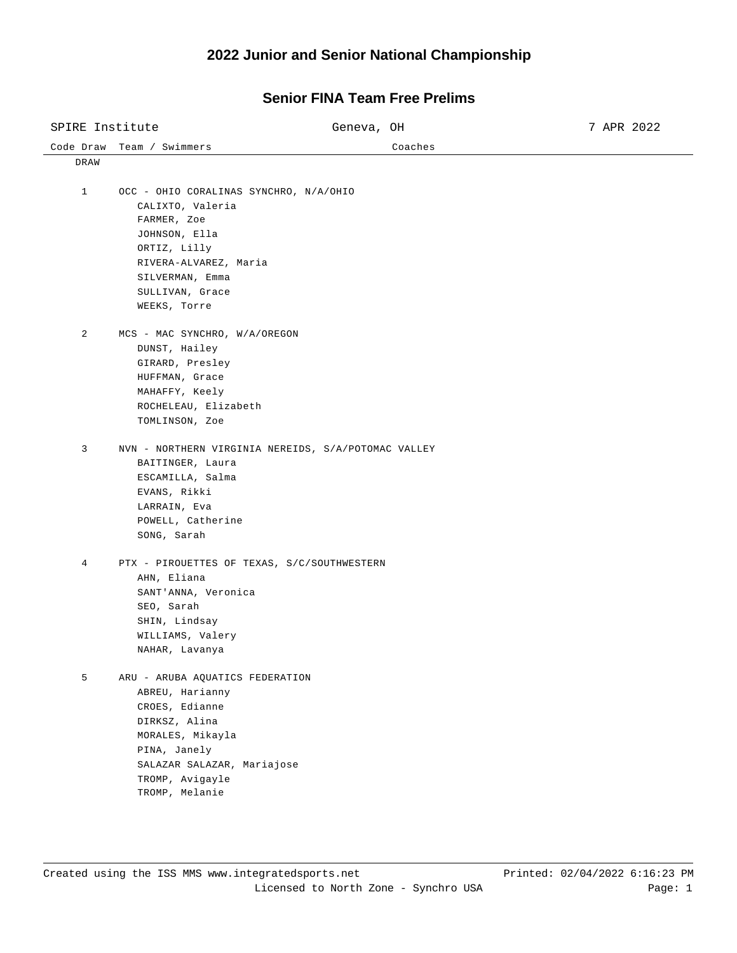## **2022 Junior and Senior National Championship**

| SPIRE Institute |                                                            | Geneva, OH                                          | 7 APR 2022 |
|-----------------|------------------------------------------------------------|-----------------------------------------------------|------------|
| Code Draw       | Team / Swimmers                                            | Coaches                                             |            |
| DRAW            |                                                            |                                                     |            |
| $\mathbf{1}$    | OCC - OHIO CORALINAS SYNCHRO, N/A/OHIO                     |                                                     |            |
|                 | CALIXTO, Valeria                                           |                                                     |            |
|                 |                                                            |                                                     |            |
|                 | FARMER, Zoe                                                |                                                     |            |
|                 | JOHNSON, Ella<br>ORTIZ, Lilly                              |                                                     |            |
|                 |                                                            |                                                     |            |
|                 | RIVERA-ALVAREZ, Maria                                      |                                                     |            |
|                 | SILVERMAN, Emma                                            |                                                     |            |
|                 | SULLIVAN, Grace                                            |                                                     |            |
|                 | WEEKS, Torre                                               |                                                     |            |
| $\overline{a}$  | MCS - MAC SYNCHRO, W/A/OREGON                              |                                                     |            |
|                 | DUNST, Hailey                                              |                                                     |            |
|                 | GIRARD, Presley                                            |                                                     |            |
|                 | HUFFMAN, Grace                                             |                                                     |            |
|                 | MAHAFFY, Keely                                             |                                                     |            |
|                 | ROCHELEAU, Elizabeth                                       |                                                     |            |
|                 | TOMLINSON, Zoe                                             |                                                     |            |
| 3               |                                                            | NVN - NORTHERN VIRGINIA NEREIDS, S/A/POTOMAC VALLEY |            |
|                 | BAITINGER, Laura                                           |                                                     |            |
|                 | ESCAMILLA, Salma                                           |                                                     |            |
|                 | EVANS, Rikki                                               |                                                     |            |
|                 | LARRAIN, Eva                                               |                                                     |            |
|                 | POWELL, Catherine                                          |                                                     |            |
|                 | SONG, Sarah                                                |                                                     |            |
|                 |                                                            |                                                     |            |
| 4               | PTX - PIROUETTES OF TEXAS, S/C/SOUTHWESTERN<br>AHN, Eliana |                                                     |            |
|                 | SANT'ANNA, Veronica                                        |                                                     |            |
|                 | SEO, Sarah                                                 |                                                     |            |
|                 |                                                            |                                                     |            |
|                 | SHIN, Lindsay                                              |                                                     |            |
|                 | WILLIAMS, Valery<br>NAHAR, Lavanya                         |                                                     |            |
|                 |                                                            |                                                     |            |
| 5               | ARU - ARUBA AQUATICS FEDERATION                            |                                                     |            |
|                 | ABREU, Harianny                                            |                                                     |            |
|                 | CROES, Edianne                                             |                                                     |            |
|                 | DIRKSZ, Alina                                              |                                                     |            |
|                 | MORALES, Mikayla                                           |                                                     |            |
|                 | PINA, Janely                                               |                                                     |            |
|                 | SALAZAR SALAZAR, Mariajose                                 |                                                     |            |
|                 | TROMP, Avigayle                                            |                                                     |            |
|                 | TROMP, Melanie                                             |                                                     |            |

## **Senior FINA Team Free Prelims**

 $\overline{\phantom{0}}$